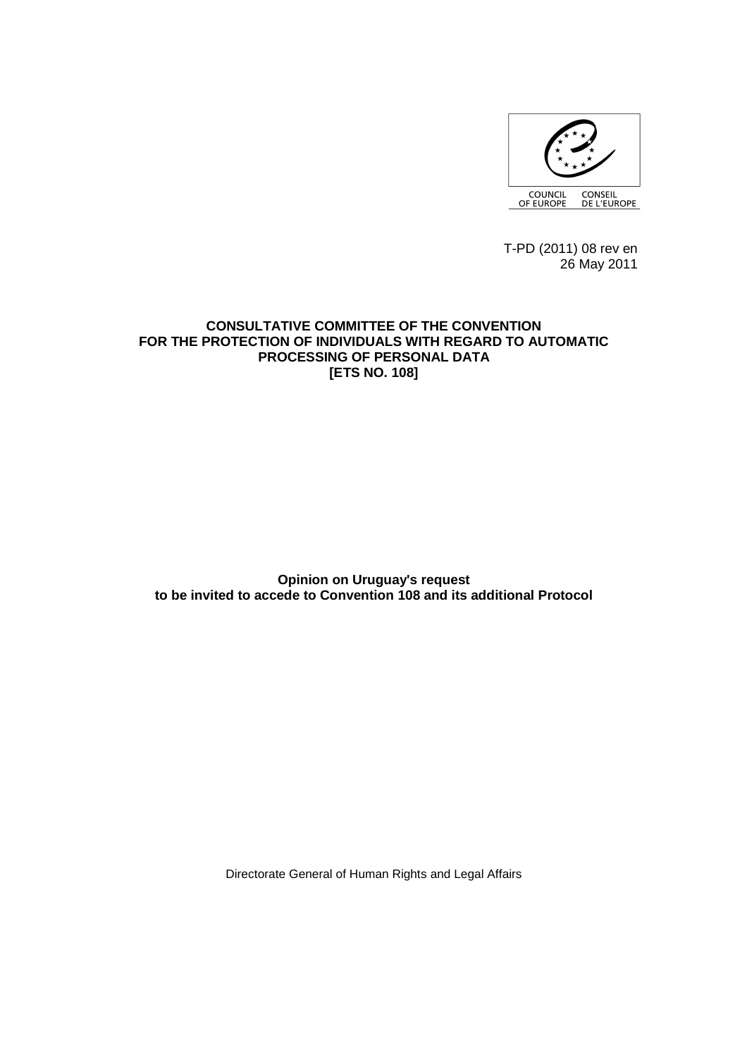

 T-PD (2011) 08 rev en 26 May 2011

## **CONSULTATIVE COMMITTEE OF THE CONVENTION FOR THE PROTECTION OF INDIVIDUALS WITH REGARD TO AUTOMATIC PROCESSING OF PERSONAL DATA [ETS NO. 108]**

**Opinion on Uruguay's request to be invited to accede to Convention 108 and its additional Protocol**

Directorate General of Human Rights and Legal Affairs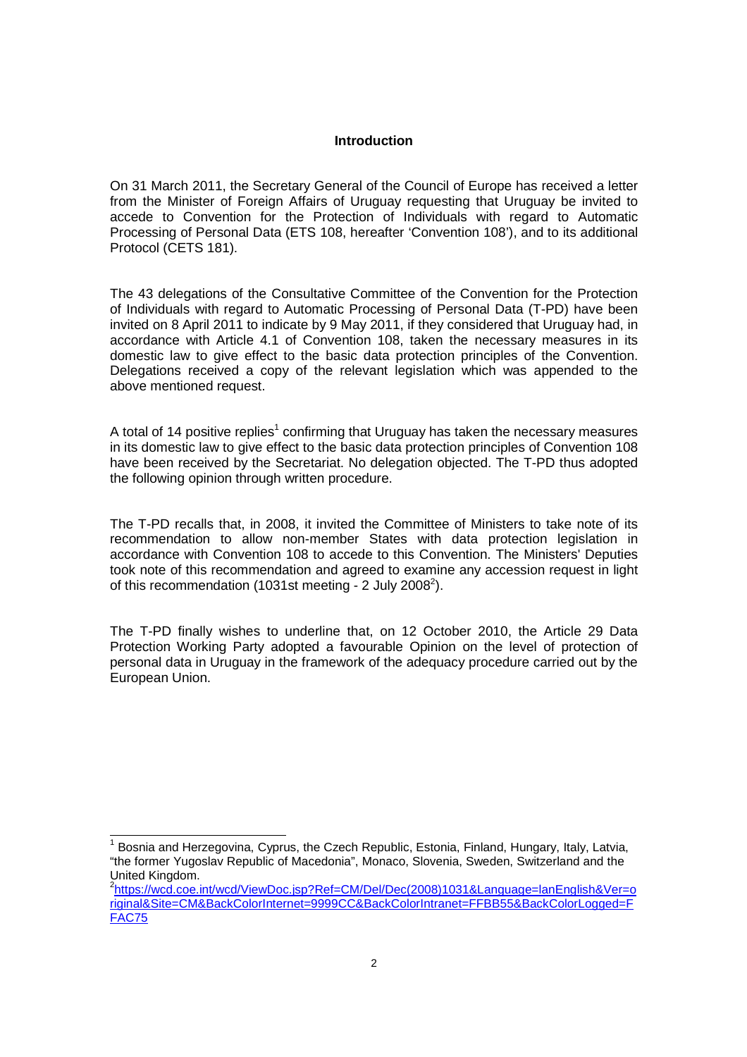## **Introduction**

On 31 March 2011, the Secretary General of the Council of Europe has received a letter from the Minister of Foreign Affairs of Uruguay requesting that Uruguay be invited to accede to Convention for the Protection of Individuals with regard to Automatic Processing of Personal Data (ETS 108, hereafter 'Convention 108'), and to its additional Protocol (CETS 181).

The 43 delegations of the Consultative Committee of the Convention for the Protection of Individuals with regard to Automatic Processing of Personal Data (T-PD) have been invited on 8 April 2011 to indicate by 9 May 2011, if they considered that Uruguay had, in accordance with Article 4.1 of Convention 108, taken the necessary measures in its domestic law to give effect to the basic data protection principles of the Convention. Delegations received a copy of the relevant legislation which was appended to the above mentioned request.

A total of 14 positive replies<sup>1</sup> confirming that Uruguay has taken the necessary measures in its domestic law to give effect to the basic data protection principles of Convention 108 have been received by the Secretariat. No delegation objected. The T-PD thus adopted the following opinion through written procedure.

The T-PD recalls that, in 2008, it invited the Committee of Ministers to take note of its recommendation to allow non-member States with data protection legislation in accordance with Convention 108 to accede to this Convention. The Ministers' Deputies took note of this recommendation and agreed to examine any accession request in light of this recommendation (1031st meeting - 2 July 2008<sup>2</sup>).

The T-PD finally wishes to underline that, on 12 October 2010, the Article 29 Data Protection Working Party adopted a favourable Opinion on the level of protection of personal data in Uruguay in the framework of the adequacy procedure carried out by the European Union.

<sup>1</sup> Bosnia and Herzegovina, Cyprus, the Czech Republic, Estonia, Finland, Hungary, Italy, Latvia, "the former Yugoslav Republic of Macedonia", Monaco, Slovenia, Sweden, Switzerland and the United Kingdom.

<sup>2</sup> https://wcd.coe.int/wcd/ViewDoc.jsp?Ref=CM/Del/Dec(2008)1031&Language=lanEnglish&Ver=o riginal&Site=CM&BackColorInternet=9999CC&BackColorIntranet=FFBB55&BackColorLogged=F FAC75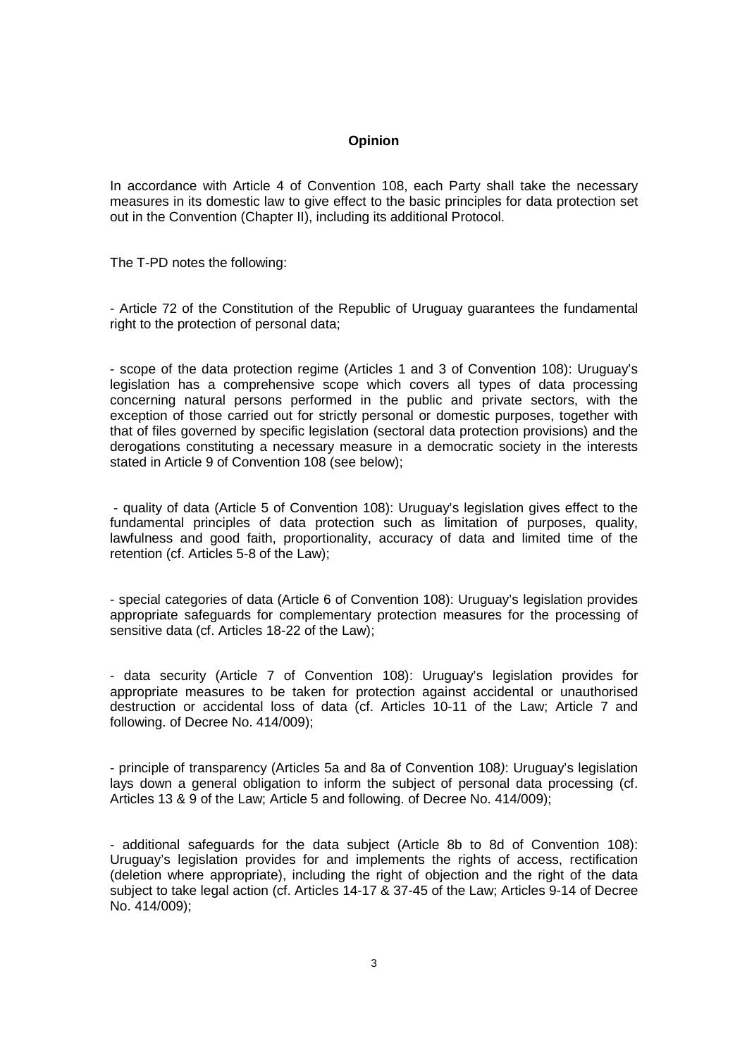## **Opinion**

In accordance with Article 4 of Convention 108, each Party shall take the necessary measures in its domestic law to give effect to the basic principles for data protection set out in the Convention (Chapter II), including its additional Protocol.

The T-PD notes the following:

- Article 72 of the Constitution of the Republic of Uruguay guarantees the fundamental right to the protection of personal data;

- scope of the data protection regime (Articles 1 and 3 of Convention 108): Uruguay's legislation has a comprehensive scope which covers all types of data processing concerning natural persons performed in the public and private sectors, with the exception of those carried out for strictly personal or domestic purposes, together with that of files governed by specific legislation (sectoral data protection provisions) and the derogations constituting a necessary measure in a democratic society in the interests stated in Article 9 of Convention 108 (see below);

 - quality of data (Article 5 of Convention 108): Uruguay's legislation gives effect to the fundamental principles of data protection such as limitation of purposes, quality, lawfulness and good faith, proportionality, accuracy of data and limited time of the retention (cf. Articles 5-8 of the Law);

- special categories of data (Article 6 of Convention 108): Uruguay's legislation provides appropriate safeguards for complementary protection measures for the processing of sensitive data (cf. Articles 18-22 of the Law);

- data security (Article 7 of Convention 108): Uruguay's legislation provides for appropriate measures to be taken for protection against accidental or unauthorised destruction or accidental loss of data (cf. Articles 10-11 of the Law; Article 7 and following. of Decree No. 414/009);

- principle of transparency (Articles 5a and 8a of Convention 108): Uruguay's legislation lays down a general obligation to inform the subject of personal data processing (cf. Articles 13 & 9 of the Law; Article 5 and following. of Decree No. 414/009);

- additional safeguards for the data subject (Article 8b to 8d of Convention 108): Uruguay's legislation provides for and implements the rights of access, rectification (deletion where appropriate), including the right of objection and the right of the data subject to take legal action (cf. Articles 14-17 & 37-45 of the Law; Articles 9-14 of Decree No. 414/009);